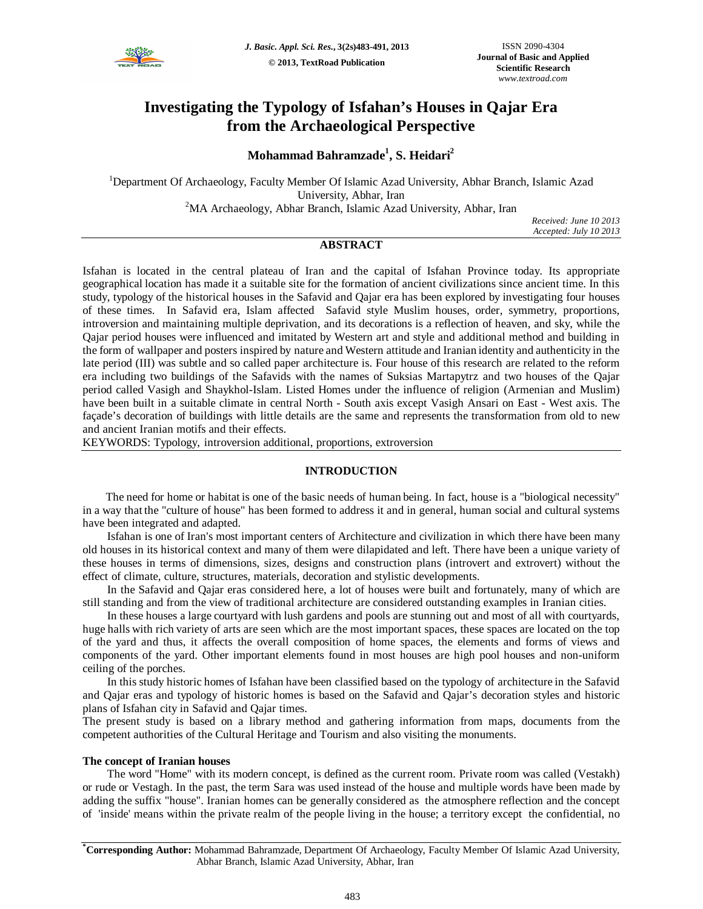

# **Investigating the Typology of Isfahan's Houses in Qajar Era from the Archaeological Perspective**

## **Mohammad Bahramzade<sup>1</sup> , S. Heidari<sup>2</sup>**

<sup>1</sup>Department Of Archaeology, Faculty Member Of Islamic Azad University, Abhar Branch, Islamic Azad University, Abhar, Iran <sup>2</sup>MA Archaeology, Abhar Branch, Islamic Azad University, Abhar, Iran

*Received: June 10 2013 Accepted: July 10 2013*

## **ABSTRACT**

Isfahan is located in the central plateau of Iran and the capital of Isfahan Province today. Its appropriate geographical location has made it a suitable site for the formation of ancient civilizations since ancient time. In this study, typology of the historical houses in the Safavid and Qajar era has been explored by investigating four houses of these times. In Safavid era, Islam affected Safavid style Muslim houses, order, symmetry, proportions, introversion and maintaining multiple deprivation, and its decorations is a reflection of heaven, and sky, while the Qajar period houses were influenced and imitated by Western art and style and additional method and building in the form of wallpaper and posters inspired by nature and Western attitude and Iranian identity and authenticity in the late period (III) was subtle and so called paper architecture is. Four house of this research are related to the reform era including two buildings of the Safavids with the names of Suksias Martapytrz and two houses of the Qajar period called Vasigh and Shaykhol-Islam. Listed Homes under the influence of religion (Armenian and Muslim) have been built in a suitable climate in central North - South axis except Vasigh Ansari on East - West axis. The façade's decoration of buildings with little details are the same and represents the transformation from old to new and ancient Iranian motifs and their effects.

KEYWORDS: Typology, introversion additional, proportions, extroversion

## **INTRODUCTION**

 The need for home or habitat is one of the basic needs of human being. In fact, house is a "biological necessity" in a way that the "culture of house" has been formed to address it and in general, human social and cultural systems have been integrated and adapted.

Isfahan is one of Iran's most important centers of Architecture and civilization in which there have been many old houses in its historical context and many of them were dilapidated and left. There have been a unique variety of these houses in terms of dimensions, sizes, designs and construction plans (introvert and extrovert) without the effect of climate, culture, structures, materials, decoration and stylistic developments.

In the Safavid and Qajar eras considered here, a lot of houses were built and fortunately, many of which are still standing and from the view of traditional architecture are considered outstanding examples in Iranian cities.

In these houses a large courtyard with lush gardens and pools are stunning out and most of all with courtyards, huge halls with rich variety of arts are seen which are the most important spaces, these spaces are located on the top of the yard and thus, it affects the overall composition of home spaces, the elements and forms of views and components of the yard. Other important elements found in most houses are high pool houses and non-uniform ceiling of the porches.

In this study historic homes of Isfahan have been classified based on the typology of architecture in the Safavid and Qajar eras and typology of historic homes is based on the Safavid and Qajar's decoration styles and historic plans of Isfahan city in Safavid and Qajar times.

The present study is based on a library method and gathering information from maps, documents from the competent authorities of the Cultural Heritage and Tourism and also visiting the monuments.

## **The concept of Iranian houses**

The word "Home" with its modern concept, is defined as the current room. Private room was called (Vestakh) or rude or Vestagh. In the past, the term Sara was used instead of the house and multiple words have been made by adding the suffix "house". Iranian homes can be generally considered as the atmosphere reflection and the concept of 'inside' means within the private realm of the people living in the house; a territory except the confidential, no

**\*Corresponding Author:** Mohammad Bahramzade, Department Of Archaeology, Faculty Member Of Islamic Azad University, Abhar Branch, Islamic Azad University, Abhar, Iran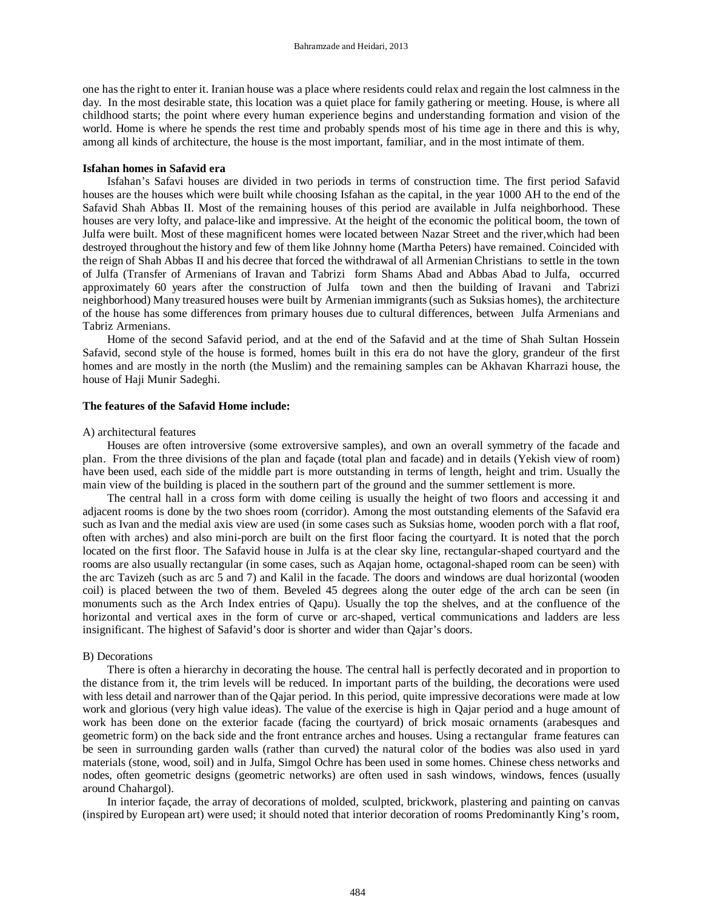one has the right to enter it. Iranian house was a place where residents could relax and regain the lost calmness in the day. In the most desirable state, this location was a quiet place for family gathering or meeting. House, is where all childhood starts; the point where every human experience begins and understanding formation and vision of the world. Home is where he spends the rest time and probably spends most of his time age in there and this is why, among all kinds of architecture, the house is the most important, familiar, and in the most intimate of them.

#### **Isfahan homes in Safavid era**

Isfahan's Safavi houses are divided in two periods in terms of construction time. The first period Safavid houses are the houses which were built while choosing Isfahan as the capital, in the year 1000 AH to the end of the Safavid Shah Abbas II. Most of the remaining houses of this period are available in Julfa neighborhood. These houses are very lofty, and palace-like and impressive. At the height of the economic the political boom, the town of Julfa were built. Most of these magnificent homes were located between Nazar Street and the river,which had been destroyed throughout the history and few of them like Johnny home (Martha Peters) have remained. Coincided with the reign of Shah Abbas II and his decree that forced the withdrawal of all Armenian Christians to settle in the town of Julfa (Transfer of Armenians of Iravan and Tabrizi form Shams Abad and Abbas Abad to Julfa, occurred approximately 60 years after the construction of Julfa town and then the building of Iravani and Tabrizi neighborhood) Many treasured houses were built by Armenian immigrants(such as Suksias homes), the architecture of the house has some differences from primary houses due to cultural differences, between Julfa Armenians and Tabriz Armenians.

Home of the second Safavid period, and at the end of the Safavid and at the time of Shah Sultan Hossein Safavid, second style of the house is formed, homes built in this era do not have the glory, grandeur of the first homes and are mostly in the north (the Muslim) and the remaining samples can be Akhavan Kharrazi house, the house of Haji Munir Sadeghi.

#### **The features of the Safavid Home include:**

#### A) architectural features

Houses are often introversive (some extroversive samples), and own an overall symmetry of the facade and plan. From the three divisions of the plan and façade (total plan and facade) and in details (Yekish view of room) have been used, each side of the middle part is more outstanding in terms of length, height and trim. Usually the main view of the building is placed in the southern part of the ground and the summer settlement is more.

The central hall in a cross form with dome ceiling is usually the height of two floors and accessing it and adjacent rooms is done by the two shoes room (corridor). Among the most outstanding elements of the Safavid era such as Ivan and the medial axis view are used (in some cases such as Suksias home, wooden porch with a flat roof, often with arches) and also mini-porch are built on the first floor facing the courtyard. It is noted that the porch located on the first floor. The Safavid house in Julfa is at the clear sky line, rectangular-shaped courtyard and the rooms are also usually rectangular (in some cases, such as Aqajan home, octagonal-shaped room can be seen) with the arc Tavizeh (such as arc 5 and 7) and Kalil in the facade. The doors and windows are dual horizontal (wooden coil) is placed between the two of them. Beveled 45 degrees along the outer edge of the arch can be seen (in monuments such as the Arch Index entries of Qapu). Usually the top the shelves, and at the confluence of the horizontal and vertical axes in the form of curve or arc-shaped, vertical communications and ladders are less insignificant. The highest of Safavid's door is shorter and wider than Qajar's doors.

#### B) Decorations

There is often a hierarchy in decorating the house. The central hall is perfectly decorated and in proportion to the distance from it, the trim levels will be reduced. In important parts of the building, the decorations were used with less detail and narrower than of the Qajar period. In this period, quite impressive decorations were made at low work and glorious (very high value ideas). The value of the exercise is high in Qajar period and a huge amount of work has been done on the exterior facade (facing the courtyard) of brick mosaic ornaments (arabesques and geometric form) on the back side and the front entrance arches and houses. Using a rectangular frame features can be seen in surrounding garden walls (rather than curved) the natural color of the bodies was also used in yard materials (stone, wood, soil) and in Julfa, Simgol Ochre has been used in some homes. Chinese chess networks and nodes, often geometric designs (geometric networks) are often used in sash windows, windows, fences (usually around Chahargol).

In interior façade, the array of decorations of molded, sculpted, brickwork, plastering and painting on canvas (inspired by European art) were used; it should noted that interior decoration of rooms Predominantly King's room,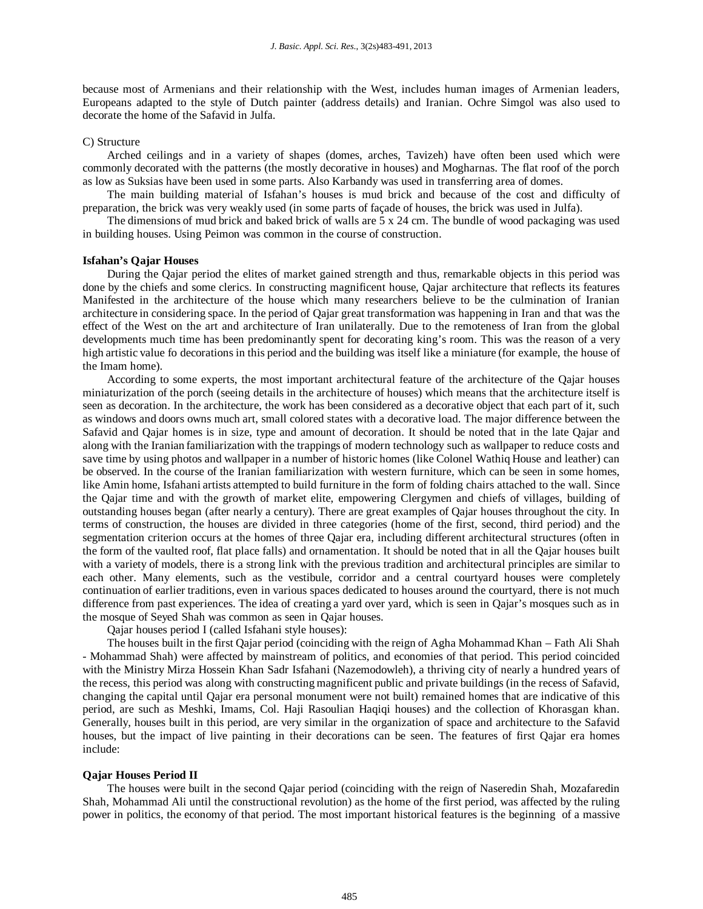because most of Armenians and their relationship with the West, includes human images of Armenian leaders, Europeans adapted to the style of Dutch painter (address details) and Iranian. Ochre Simgol was also used to decorate the home of the Safavid in Julfa.

#### C) Structure

Arched ceilings and in a variety of shapes (domes, arches, Tavizeh) have often been used which were commonly decorated with the patterns (the mostly decorative in houses) and Mogharnas. The flat roof of the porch as low as Suksias have been used in some parts. Also Karbandy was used in transferring area of domes.

The main building material of Isfahan's houses is mud brick and because of the cost and difficulty of preparation, the brick was very weakly used (in some parts of façade of houses, the brick was used in Julfa).

The dimensions of mud brick and baked brick of walls are 5 x 24 cm. The bundle of wood packaging was used in building houses. Using Peimon was common in the course of construction.

#### **Isfahan's Qajar Houses**

During the Qajar period the elites of market gained strength and thus, remarkable objects in this period was done by the chiefs and some clerics. In constructing magnificent house, Qajar architecture that reflects its features Manifested in the architecture of the house which many researchers believe to be the culmination of Iranian architecture in considering space. In the period of Qajar great transformation was happening in Iran and that was the effect of the West on the art and architecture of Iran unilaterally. Due to the remoteness of Iran from the global developments much time has been predominantly spent for decorating king's room. This was the reason of a very high artistic value fo decorations in this period and the building was itself like a miniature (for example, the house of the Imam home).

According to some experts, the most important architectural feature of the architecture of the Qajar houses miniaturization of the porch (seeing details in the architecture of houses) which means that the architecture itself is seen as decoration. In the architecture, the work has been considered as a decorative object that each part of it, such as windows and doors owns much art, small colored states with a decorative load. The major difference between the Safavid and Qajar homes is in size, type and amount of decoration. It should be noted that in the late Qajar and along with the Iranian familiarization with the trappings of modern technology such as wallpaper to reduce costs and save time by using photos and wallpaper in a number of historic homes (like Colonel Wathiq House and leather) can be observed. In the course of the Iranian familiarization with western furniture, which can be seen in some homes, like Amin home, Isfahani artists attempted to build furniture in the form of folding chairs attached to the wall. Since the Qajar time and with the growth of market elite, empowering Clergymen and chiefs of villages, building of outstanding houses began (after nearly a century). There are great examples of Qajar houses throughout the city. In terms of construction, the houses are divided in three categories (home of the first, second, third period) and the segmentation criterion occurs at the homes of three Qajar era, including different architectural structures (often in the form of the vaulted roof, flat place falls) and ornamentation. It should be noted that in all the Qajar houses built with a variety of models, there is a strong link with the previous tradition and architectural principles are similar to each other. Many elements, such as the vestibule, corridor and a central courtyard houses were completely continuation of earlier traditions, even in various spaces dedicated to houses around the courtyard, there is not much difference from past experiences. The idea of creating a yard over yard, which is seen in Qajar's mosques such as in the mosque of Seyed Shah was common as seen in Qajar houses.

Qajar houses period I (called Isfahani style houses):

The houses built in the first Qajar period (coinciding with the reign of Agha Mohammad Khan – Fath Ali Shah - Mohammad Shah) were affected by mainstream of politics, and economies of that period. This period coincided with the Ministry Mirza Hossein Khan Sadr Isfahani (Nazemodowleh), a thriving city of nearly a hundred years of the recess, this period was along with constructing magnificent public and private buildings (in the recess of Safavid, changing the capital until Qajar era personal monument were not built) remained homes that are indicative of this period, are such as Meshki, Imams, Col. Haji Rasoulian Haqiqi houses) and the collection of Khorasgan khan. Generally, houses built in this period, are very similar in the organization of space and architecture to the Safavid houses, but the impact of live painting in their decorations can be seen. The features of first Qajar era homes include:

#### **Qajar Houses Period II**

The houses were built in the second Qajar period (coinciding with the reign of Naseredin Shah, Mozafaredin Shah, Mohammad Ali until the constructional revolution) as the home of the first period, was affected by the ruling power in politics, the economy of that period. The most important historical features is the beginning of a massive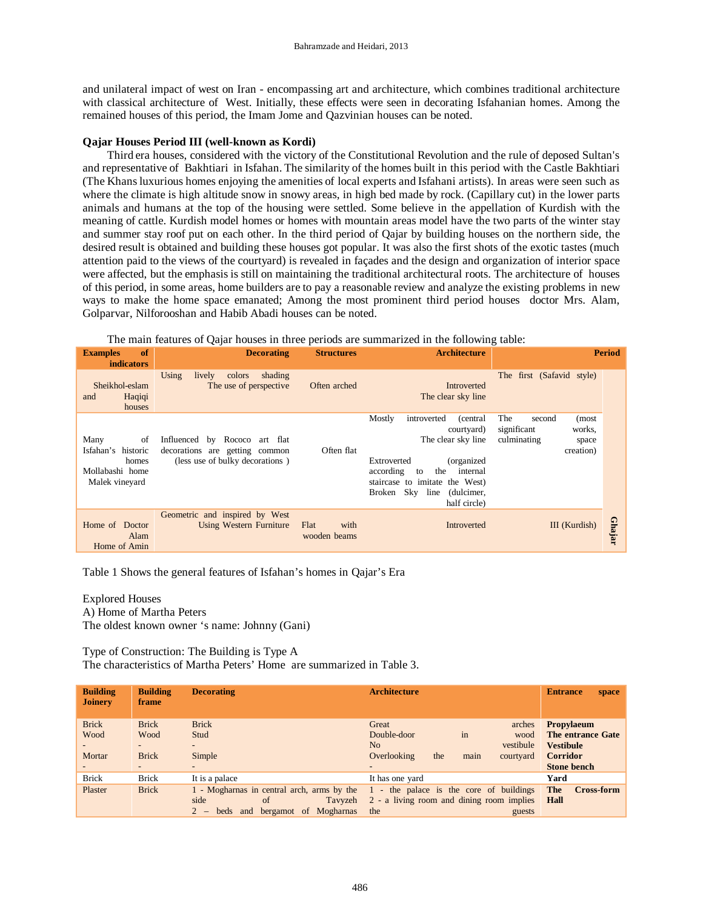and unilateral impact of west on Iran - encompassing art and architecture, which combines traditional architecture with classical architecture of West. Initially, these effects were seen in decorating Isfahanian homes. Among the remained houses of this period, the Imam Jome and Qazvinian houses can be noted.

## **Qajar Houses Period III (well-known as Kordi)**

Third era houses, considered with the victory of the Constitutional Revolution and the rule of deposed Sultan's and representative of Bakhtiari in Isfahan. The similarity of the homes built in this period with the Castle Bakhtiari (The Khansluxurious homes enjoying the amenities of local experts and Isfahani artists). In areas were seen such as where the climate is high altitude snow in snowy areas, in high bed made by rock. (Capillary cut) in the lower parts animals and humans at the top of the housing were settled. Some believe in the appellation of Kurdish with the meaning of cattle. Kurdish model homes or homes with mountain areas model have the two parts of the winter stay and summer stay roof put on each other. In the third period of Qajar by building houses on the northern side, the desired result is obtained and building these houses got popular. It was also the first shots of the exotic tastes (much attention paid to the views of the courtyard) is revealed in façades and the design and organization of interior space were affected, but the emphasis is still on maintaining the traditional architectural roots. The architecture of houses of this period, in some areas, home builders are to pay a reasonable review and analyze the existing problems in new ways to make the home space emanated; Among the most prominent third period houses doctor Mrs. Alam, Golparvar, Nilforooshan and Habib Abadi houses can be noted.

| The main features of Qajar houses in three periods are summarized in the following table: |  |  |
|-------------------------------------------------------------------------------------------|--|--|
|                                                                                           |  |  |

| of<br><b>Examples</b><br><b>indicators</b>                                     | <b>Decorating</b>                                                                                  | <b>Structures</b>            | <b>Architecture</b>                                                                                                                                                                                                                 | <b>Period</b>                                                                        |
|--------------------------------------------------------------------------------|----------------------------------------------------------------------------------------------------|------------------------------|-------------------------------------------------------------------------------------------------------------------------------------------------------------------------------------------------------------------------------------|--------------------------------------------------------------------------------------|
| Sheikhol-eslam<br>Haqiqi<br>and<br>houses                                      | Using<br>shading<br>lively<br>colors<br>The use of perspective                                     | Often arched                 | Introverted<br>The clear sky line                                                                                                                                                                                                   | The first (Safavid style)                                                            |
| Many<br>of<br>Isfahan's historic<br>homes<br>Mollabashi home<br>Malek vinevard | Influenced by Rococo art flat<br>decorations are getting common<br>(less use of bulky decorations) | Often flat                   | Mostly<br>introverted<br>(central)<br>courtyard)<br>The clear sky line<br>(organized)<br>Extroverted<br>according<br>the<br>internal<br>to<br>staircase to imitate the West)<br>Sky<br>(dulcimer,<br>Broken<br>line<br>half circle) | The<br>second<br>(most<br>significant<br>works,<br>culminating<br>space<br>creation) |
| Home of Doctor<br>Alam<br>Home of Amin                                         | Geometric and inspired by West<br>Using Western Furniture                                          | Flat<br>with<br>wooden beams | Introverted                                                                                                                                                                                                                         | <b>Ghajar</b><br>III (Kurdish)                                                       |

Table 1 Shows the general features of Isfahan's homes in Qajar's Era

Explored Houses A) Home of Martha Peters The oldest known owner 's name: Johnny (Gani)

Type of Construction: The Building is Type A The characteristics of Martha Peters' Home are summarized in Table 3.

| <b>Building</b><br><b>Joinery</b> | <b>Building</b><br>frame | <b>Decorating</b>                             | <b>Architecture</b>                                                                                                             | <b>Entrance</b><br>space         |
|-----------------------------------|--------------------------|-----------------------------------------------|---------------------------------------------------------------------------------------------------------------------------------|----------------------------------|
| <b>Brick</b>                      | <b>Brick</b>             | <b>Brick</b>                                  | Great<br>arches                                                                                                                 | <b>Propylaeum</b>                |
| Wood                              | Wood                     | Stud                                          | in<br>Double-door<br>wood                                                                                                       | <b>The entrance Gate</b>         |
|                                   | $\blacksquare$           | $-$                                           | No<br>vestibule                                                                                                                 | <b>Vestibule</b>                 |
| Mortar                            | <b>Brick</b>             | Simple                                        | main<br>Overlooking<br>the<br>courtyard                                                                                         | <b>Corridor</b>                  |
|                                   | $\overline{\phantom{a}}$ | $\overline{\phantom{0}}$                      |                                                                                                                                 | <b>Stone bench</b>               |
| <b>Brick</b>                      | <b>Brick</b>             | It is a palace                                | It has one yard                                                                                                                 | Yard                             |
| Plaster                           | <b>Brick</b>             | side<br>Tavyzeh<br>of                         | 1 - Mogharnas in central arch, arms by the 1 - the palace is the core of buildings<br>2 - a living room and dining room implies | The<br><b>Cross-form</b><br>Hall |
|                                   |                          | bergamot of Mogharnas<br>$2 -$<br>and<br>beds | the<br>guests                                                                                                                   |                                  |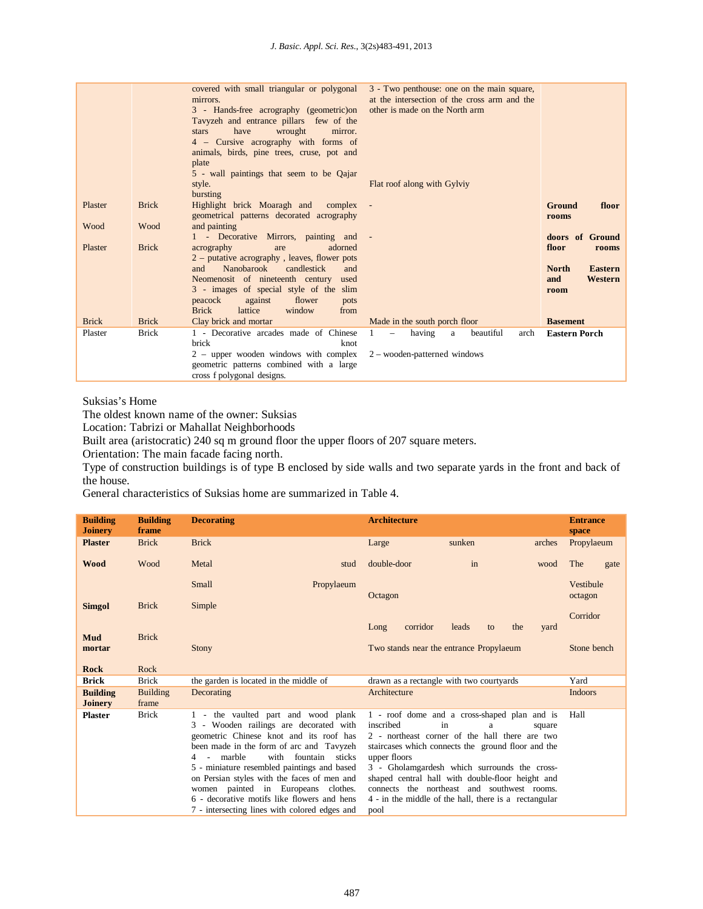|              |              | covered with small triangular or polygonal<br>mirrors.<br>3 - Hands-free acrography (geometric) on<br>Tavyzeh and entrance pillars few of the<br>have<br>wrought<br>mirror.<br>stars<br>4 – Cursive acrography with forms of<br>animals, birds, pine trees, cruse, pot and<br>plate<br>5 - wall paintings that seem to be Qajar<br>style. | 3 - Two penthouse: one on the main square,<br>at the intersection of the cross arm and the<br>other is made on the North arm<br>Flat roof along with Gylviy |                                                                            |
|--------------|--------------|-------------------------------------------------------------------------------------------------------------------------------------------------------------------------------------------------------------------------------------------------------------------------------------------------------------------------------------------|-------------------------------------------------------------------------------------------------------------------------------------------------------------|----------------------------------------------------------------------------|
|              |              | bursting                                                                                                                                                                                                                                                                                                                                  |                                                                                                                                                             |                                                                            |
| Plaster      | <b>Brick</b> | Highlight brick Moaragh and complex<br>geometrical patterns decorated acrography                                                                                                                                                                                                                                                          |                                                                                                                                                             | Ground<br>floor<br>rooms                                                   |
| Wood         | Wood         | and painting<br>1 - Decorative Mirrors, painting and -                                                                                                                                                                                                                                                                                    |                                                                                                                                                             | doors of Ground                                                            |
| Plaster      | <b>Brick</b> | adorned<br>acrography<br>are<br>$2$ – putative acrography, leaves, flower pots<br>Nanobarook<br>candlestick<br>and<br>and<br>Neomenosit of nineteenth century<br>used<br>3 - images of special style of the slim<br>peacock<br>against<br>flower<br>pots<br><b>Brick</b><br>lattice<br>window<br>from                                     |                                                                                                                                                             | floor<br>rooms<br><b>North</b><br><b>Eastern</b><br>Western<br>and<br>room |
| <b>Brick</b> | <b>Brick</b> | Clay brick and mortar                                                                                                                                                                                                                                                                                                                     | Made in the south porch floor                                                                                                                               | <b>Basement</b>                                                            |
| Plaster      | <b>Brick</b> | 1 - Decorative arcades made of Chinese<br>brick<br>knot<br>2 – upper wooden windows with complex<br>geometric patterns combined with a large<br>cross f polygonal designs.                                                                                                                                                                | having<br>beautiful<br>$\mathbf{1}$<br>arch<br>a<br>$\equiv$<br>$2$ – wooden-patterned windows                                                              | <b>Eastern Porch</b>                                                       |

Suksias's Home

The oldest known name of the owner: Suksias

Location: Tabrizi or Mahallat Neighborhoods

Built area (aristocratic) 240 sq m ground floor the upper floors of 207 square meters.

Orientation: The main facade facing north.

Type of construction buildings is of type B enclosed by side walls and two separate yards in the front and back of the house.

General characteristics of Suksias home are summarized in Table 4.

| <b>Building</b><br><b>Joinery</b> | <b>Building</b><br>frame | <b>Decorating</b>                                                                                                                                                                                                                                                                                                                                                                                                                                    | <b>Architecture</b>                                         |                                                                                                                                                                                                                                                                                                                                                                             |        | <b>Entrance</b><br>space |      |
|-----------------------------------|--------------------------|------------------------------------------------------------------------------------------------------------------------------------------------------------------------------------------------------------------------------------------------------------------------------------------------------------------------------------------------------------------------------------------------------------------------------------------------------|-------------------------------------------------------------|-----------------------------------------------------------------------------------------------------------------------------------------------------------------------------------------------------------------------------------------------------------------------------------------------------------------------------------------------------------------------------|--------|--------------------------|------|
| <b>Plaster</b>                    | <b>Brick</b>             | <b>Brick</b>                                                                                                                                                                                                                                                                                                                                                                                                                                         | Large                                                       | sunken                                                                                                                                                                                                                                                                                                                                                                      | arches | Propylaeum               |      |
| <b>Wood</b>                       | Wood                     | Metal<br>stud                                                                                                                                                                                                                                                                                                                                                                                                                                        | double-door                                                 | in                                                                                                                                                                                                                                                                                                                                                                          | wood   | The                      | gate |
|                                   |                          | Small<br>Propylaeum                                                                                                                                                                                                                                                                                                                                                                                                                                  | Octagon                                                     |                                                                                                                                                                                                                                                                                                                                                                             |        | Vestibule<br>octagon     |      |
| <b>Simgol</b>                     | <b>Brick</b>             | Simple                                                                                                                                                                                                                                                                                                                                                                                                                                               |                                                             |                                                                                                                                                                                                                                                                                                                                                                             |        |                          |      |
| Mud<br>mortar                     | <b>Brick</b>             | <b>Stony</b>                                                                                                                                                                                                                                                                                                                                                                                                                                         | corridor<br>Long<br>Two stands near the entrance Propylaeum | leads<br>the<br>to                                                                                                                                                                                                                                                                                                                                                          | yard   | Corridor<br>Stone bench  |      |
| <b>Rock</b>                       | Rock                     |                                                                                                                                                                                                                                                                                                                                                                                                                                                      |                                                             |                                                                                                                                                                                                                                                                                                                                                                             |        |                          |      |
| <b>Brick</b>                      | <b>Brick</b>             | the garden is located in the middle of                                                                                                                                                                                                                                                                                                                                                                                                               | drawn as a rectangle with two courtyards                    |                                                                                                                                                                                                                                                                                                                                                                             |        | Yard                     |      |
| <b>Building</b><br><b>Joinery</b> | <b>Building</b><br>frame | Decorating                                                                                                                                                                                                                                                                                                                                                                                                                                           | Architecture                                                |                                                                                                                                                                                                                                                                                                                                                                             |        | <b>Indoors</b>           |      |
| <b>Plaster</b>                    | <b>Brick</b>             | 1 - the vaulted part and wood plank<br>3 - Wooden railings are decorated with<br>geometric Chinese knot and its roof has<br>been made in the form of arc and Tavyzeh<br>with fountain sticks<br>marble<br>$4 -$<br>5 - miniature resembled paintings and based<br>on Persian styles with the faces of men and<br>women painted in Europeans clothes.<br>6 - decorative motifs like flowers and hens<br>7 - intersecting lines with colored edges and | inscribed<br>upper floors<br>pool                           | 1 - roof dome and a cross-shaped plan and is<br>in<br>a<br>2 - northeast corner of the hall there are two<br>staircases which connects the ground floor and the<br>3 - Gholamgardesh which surrounds the cross-<br>shaped central hall with double-floor height and<br>connects the northeast and southwest rooms.<br>4 - in the middle of the hall, there is a rectangular | square | Hall                     |      |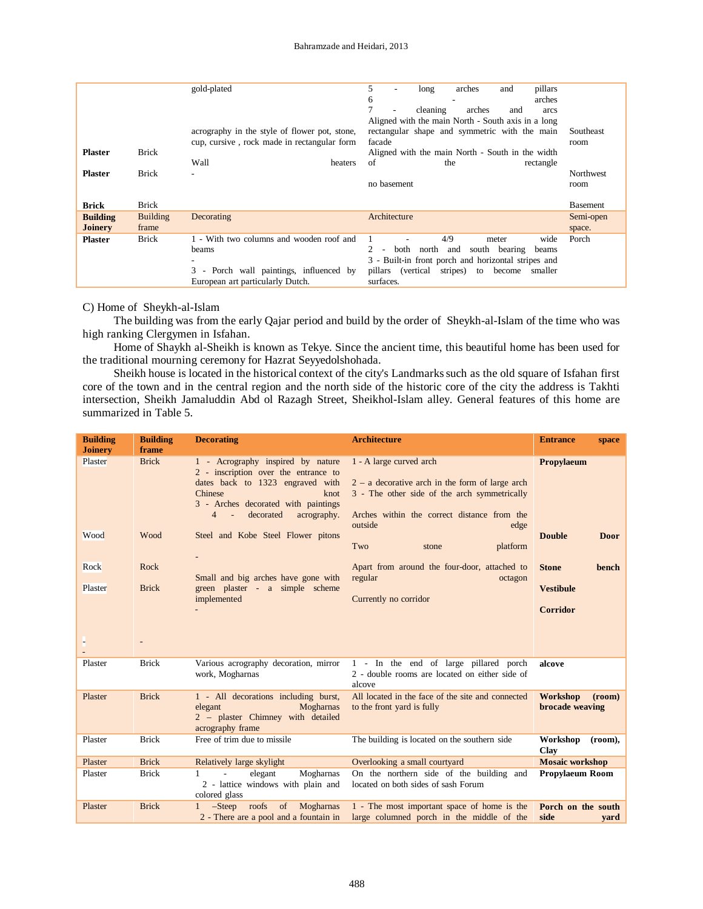| <b>Plaster</b><br><b>Plaster</b>  | <b>Brick</b><br><b>Brick</b> | gold-plated<br>acrography in the style of flower pot, stone,<br>cup, cursive, rock made in rectangular form<br>Wall<br>heaters   | 5.<br>arches<br>pillars<br>and<br>long<br>arches<br>6<br>cleaning<br>arches<br>and<br>arcs<br>Aligned with the main North - South axis in a long<br>rectangular shape and symmetric with the main<br>facade<br>Aligned with the main North - South in the width<br>of<br>the<br>rectangle<br>no basement | Southeast<br>room<br>Northwest<br>room |
|-----------------------------------|------------------------------|----------------------------------------------------------------------------------------------------------------------------------|----------------------------------------------------------------------------------------------------------------------------------------------------------------------------------------------------------------------------------------------------------------------------------------------------------|----------------------------------------|
| <b>Brick</b>                      | <b>Brick</b>                 |                                                                                                                                  |                                                                                                                                                                                                                                                                                                          | <b>Basement</b>                        |
| <b>Building</b><br><b>Joinery</b> | <b>Building</b><br>frame     | Decorating                                                                                                                       | Architecture                                                                                                                                                                                                                                                                                             | Semi-open<br>space.                    |
| <b>Plaster</b>                    | <b>Brick</b>                 | 1 - With two columns and wooden roof and<br>beams<br>3 - Porch wall paintings, influenced by<br>European art particularly Dutch. | 4/9<br>wide<br>meter<br>both<br>north<br>south bearing<br>and<br>beams<br>3 - Built-in front porch and horizontal stripes and<br>stripes)<br>pillars (vertical<br>become<br>to<br>smaller<br>surfaces.                                                                                                   | Porch                                  |

## C) Home of Sheykh-al-Islam

The building was from the early Qajar period and build by the order of Sheykh-al-Islam of the time who was high ranking Clergymen in Isfahan.

Home of Shaykh al-Sheikh is known as Tekye. Since the ancient time, this beautiful home has been used for the traditional mourning ceremony for Hazrat Seyyedolshohada.

Sheikh house is located in the historical context of the city's Landmarks such as the old square of Isfahan first core of the town and in the central region and the north side of the historic core of the city the address is Takhti intersection, Sheikh Jamaluddin Abd ol Razagh Street, Sheikhol-Islam alley. General features of this home are summarized in Table 5.

| <b>Building</b><br><b>Joinery</b>  | <b>Building</b><br>frame                     | <b>Decorating</b>                                                                                                                                                                                                                                                                                                                           | <b>Architecture</b>                                                                                                                                                                                                                                                                                                       | <b>Entrance</b><br>space                                                                                   |
|------------------------------------|----------------------------------------------|---------------------------------------------------------------------------------------------------------------------------------------------------------------------------------------------------------------------------------------------------------------------------------------------------------------------------------------------|---------------------------------------------------------------------------------------------------------------------------------------------------------------------------------------------------------------------------------------------------------------------------------------------------------------------------|------------------------------------------------------------------------------------------------------------|
| Plaster<br>Wood<br>Rock<br>Plaster | <b>Brick</b><br>Wood<br>Rock<br><b>Brick</b> | 1 - Acrography inspired by nature<br>2 - inscription over the entrance to<br>dates back to 1323 engraved with<br>Chinese<br>knot<br>3 - Arches decorated with paintings<br>decorated<br>acrography.<br>$4 -$<br>Steel and Kobe Steel Flower pitons<br>Small and big arches have gone with<br>green plaster - a simple scheme<br>implemented | 1 - A large curved arch<br>$2 - a$ decorative arch in the form of large arch<br>3 - The other side of the arch symmetrically<br>Arches within the correct distance from the<br>outside<br>edge<br>Two<br>platform<br>stone<br>Apart from around the four-door, attached to<br>regular<br>octagon<br>Currently no corridor | Propylaeum<br><b>Double</b><br><b>Door</b><br><b>Stone</b><br>bench<br><b>Vestibule</b><br><b>Corridor</b> |
| Plaster                            | <b>Brick</b>                                 | Various acrography decoration, mirror<br>work, Mogharnas                                                                                                                                                                                                                                                                                    | 1 - In the end of large pillared porch<br>2 - double rooms are located on either side of<br>alcove                                                                                                                                                                                                                        | alcove                                                                                                     |
| Plaster                            | <b>Brick</b>                                 | 1 - All decorations including burst,<br>Mogharnas<br>elegant<br>2 - plaster Chimney with detailed<br>acrography frame                                                                                                                                                                                                                       | All located in the face of the site and connected<br>to the front yard is fully                                                                                                                                                                                                                                           | Workshop<br>(room)<br>brocade weaving                                                                      |
| Plaster                            | <b>Brick</b>                                 | Free of trim due to missile                                                                                                                                                                                                                                                                                                                 | The building is located on the southern side                                                                                                                                                                                                                                                                              | Workshop<br>$(room)$ ,<br>Clay                                                                             |
| Plaster                            | <b>Brick</b>                                 | Relatively large skylight                                                                                                                                                                                                                                                                                                                   | Overlooking a small courtyard                                                                                                                                                                                                                                                                                             | <b>Mosaic workshop</b>                                                                                     |
| Plaster                            | <b>Brick</b>                                 | Mogharnas<br>elegant<br>1<br>$\overline{\phantom{a}}$<br>2 - lattice windows with plain and<br>colored glass                                                                                                                                                                                                                                | On the northern side of the building and<br>located on both sides of sash Forum                                                                                                                                                                                                                                           | <b>Propylaeum Room</b>                                                                                     |
| Plaster                            | <b>Brick</b>                                 | -Steep roofs of Moghamas<br>$1 \quad$<br>2 - There are a pool and a fountain in                                                                                                                                                                                                                                                             | 1 - The most important space of home is the<br>large columned porch in the middle of the                                                                                                                                                                                                                                  | Porch on the south<br>side<br>vard                                                                         |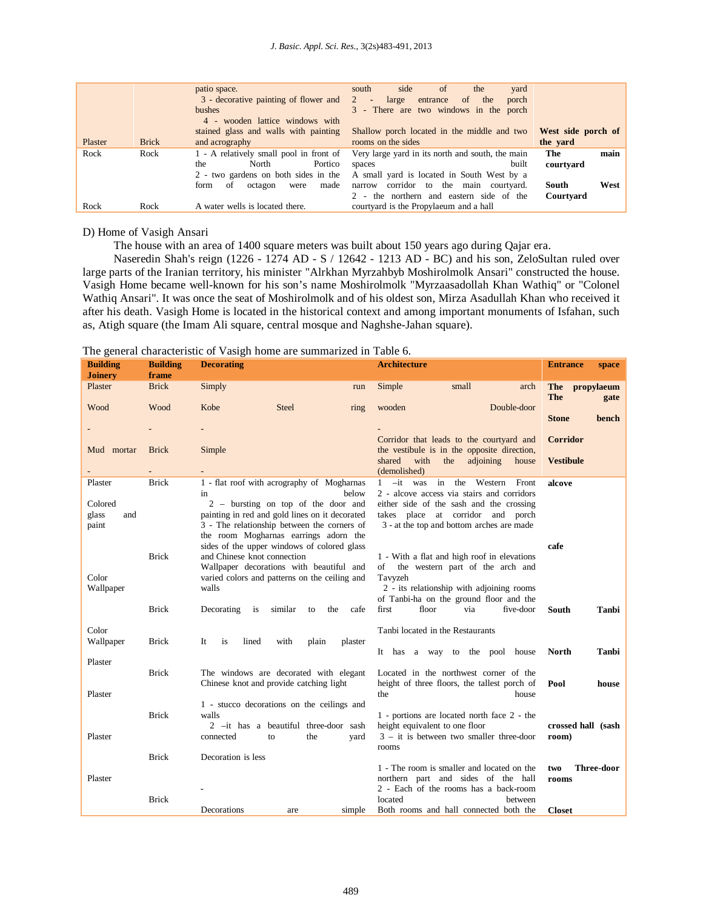#### *J. Basic. Appl. Sci. Res.*, 3(2s)483-491, 2013

|         |              | patio space.<br>3 - decorative painting of flower and 2<br>bushes<br>4 - wooden lattice windows with<br>stained glass and walls with painting       | side<br><sub>of</sub><br>the<br>south<br>yard<br>of<br>the<br>entrance<br>porch<br>large<br>$\blacksquare$<br>3 - There are two windows in the porch<br>Shallow porch located in the middle and two | West side porch of                                     |
|---------|--------------|-----------------------------------------------------------------------------------------------------------------------------------------------------|-----------------------------------------------------------------------------------------------------------------------------------------------------------------------------------------------------|--------------------------------------------------------|
| Plaster | <b>Brick</b> | and acrography                                                                                                                                      | rooms on the sides                                                                                                                                                                                  | the yard                                               |
| Rock    | Rock         | 1 - A relatively small pool in front of<br>Portico<br>North<br>the<br>2 - two gardens on both sides in the<br>made<br>of<br>octagon<br>form<br>were | Very large yard in its north and south, the main<br>built<br>spaces<br>A small yard is located in South West by a<br>narrow corridor to the main courtyard.<br>the northern and eastern side of the | The<br>main<br>courtyard<br>West<br>South<br>Courtyard |
| Rock    | Rock         | A water wells is located there.                                                                                                                     | courtyard is the Propylaeum and a hall                                                                                                                                                              |                                                        |

#### D) Home of Vasigh Ansari

The house with an area of 1400 square meters was built about 150 years ago during Qajar era.

Naseredin Shah's reign (1226 - 1274 AD - S / 12642 - 1213 AD - BC) and his son, ZeloSultan ruled over large parts of the Iranian territory, his minister "Alrkhan Myrzahbyb Moshirolmolk Ansari" constructed the house. Vasigh Home became well-known for his son's name Moshirolmolk "Myrzaasadollah Khan Wathiq" or "Colonel Wathiq Ansari". It was once the seat of Moshirolmolk and of his oldest son, Mirza Asadullah Khan who received it after his death. Vasigh Home is located in the historical context and among important monuments of Isfahan, such as, Atigh square (the Imam Ali square, central mosque and Naghshe-Jahan square).

### The general characteristic of Vasigh home are summarized in Table 6.

| $\circ$<br><b>Building</b><br><b>Joinery</b> | <b>Building</b><br>frame | <b>Decorating</b>                                                                              | <b>Architecture</b>                                                                           | <b>Entrance</b><br>space |
|----------------------------------------------|--------------------------|------------------------------------------------------------------------------------------------|-----------------------------------------------------------------------------------------------|--------------------------|
| Plaster                                      | <b>Brick</b>             | Simply<br>run                                                                                  | Simple<br>small<br>arch                                                                       | propylaeum<br>The<br>The |
| Wood                                         | Wood                     | Kobe<br><b>Steel</b><br>ring                                                                   | wooden<br>Double-door                                                                         | gate                     |
|                                              |                          |                                                                                                |                                                                                               | <b>Stone</b><br>bench    |
| Mud mortar                                   | <b>Brick</b>             | Simple                                                                                         | Corridor that leads to the courtyard and<br>the vestibule is in the opposite direction,       | <b>Corridor</b>          |
|                                              |                          |                                                                                                | shared<br>with<br>the adjoining<br>house<br>(demolished)                                      | <b>Vestibule</b>         |
| Plaster                                      | <b>Brick</b>             | 1 - flat roof with acrography of Mogharnas<br>below<br>in                                      | -it was in the Western<br>Front<br>$\mathbf{1}$<br>2 - alcove access via stairs and corridors | alcove                   |
| Colored                                      |                          | $2 - \text{bursting}$ on top of the door and<br>painting in red and gold lines on it decorated | either side of the sash and the crossing<br>takes place at corridor and porch                 |                          |
| glass<br>and<br>paint                        |                          | 3 - The relationship between the corners of<br>the room Mogharnas earrings adorn the           | 3 - at the top and bottom arches are made                                                     |                          |
|                                              |                          | sides of the upper windows of colored glass                                                    |                                                                                               | cafe                     |
|                                              | <b>Brick</b>             | and Chinese knot connection<br>Wallpaper decorations with beautiful and                        | 1 - With a flat and high roof in elevations<br>the western part of the arch and<br>of         |                          |
| Color<br>Wallpaper                           |                          | varied colors and patterns on the ceiling and<br>walls                                         | Tavyzeh<br>2 - its relationship with adjoining rooms                                          |                          |
|                                              | <b>Brick</b>             | cafe                                                                                           | of Tanbi-ha on the ground floor and the<br>first<br>floor<br>five-door<br>via                 |                          |
|                                              |                          | similar<br>Decorating<br>is<br>the<br>to                                                       |                                                                                               | South<br>Tanbi           |
| Color<br>Wallpaper                           | <b>Brick</b>             | lined<br>with<br>It<br>is<br>plain<br>plaster                                                  | Tanbi located in the Restaurants                                                              |                          |
| Plaster                                      |                          |                                                                                                | It has a way to the pool house                                                                | North<br>Tanbi           |
|                                              | <b>Brick</b>             | The windows are decorated with elegant                                                         | Located in the northwest corner of the                                                        |                          |
| Plaster                                      |                          | Chinese knot and provide catching light                                                        | height of three floors, the tallest porch of<br>the<br>house                                  | Pool<br>house            |
|                                              | <b>Brick</b>             | 1 - stucco decorations on the ceilings and<br>walls                                            | 1 - portions are located north face 2 - the                                                   |                          |
|                                              |                          | 2 -it has a beautiful three-door sash                                                          | height equivalent to one floor                                                                | crossed hall (sash       |
| Plaster                                      |                          | connected<br>to<br>the<br>yard                                                                 | $3 - it$ is between two smaller three-door<br>rooms                                           | room)                    |
|                                              | <b>Brick</b>             | Decoration is less                                                                             | 1 - The room is smaller and located on the                                                    | Three-door<br>two        |
| Plaster                                      |                          |                                                                                                | northern part and sides of the hall                                                           | rooms                    |
|                                              | <b>Brick</b>             |                                                                                                | 2 - Each of the rooms has a back-room<br>located<br>between                                   |                          |
|                                              |                          | Decorations<br>simple<br>are                                                                   | Both rooms and hall connected both the                                                        | <b>Closet</b>            |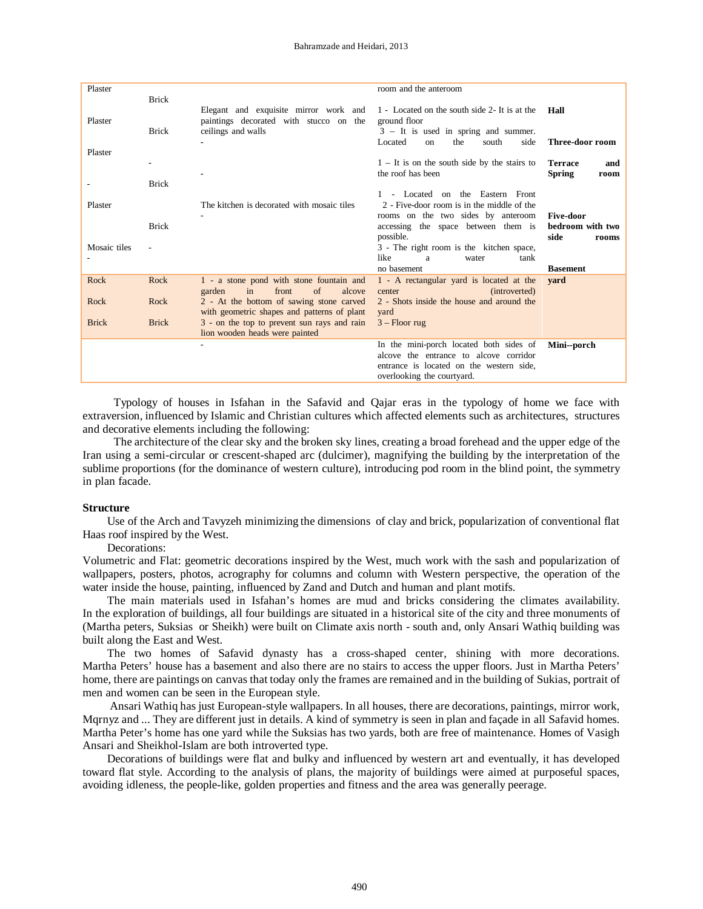| Plaster      | <b>Brick</b> |                                                                                                       | room and the anteroom                                                                                                                                       |                                                |
|--------------|--------------|-------------------------------------------------------------------------------------------------------|-------------------------------------------------------------------------------------------------------------------------------------------------------------|------------------------------------------------|
| Plaster      | <b>Brick</b> | Elegant and exquisite mirror work and<br>paintings decorated with stucco on the<br>ceilings and walls | 1 - Located on the south side 2- It is at the<br>ground floor<br>$3 - It$ is used in spring and summer.<br>the                                              | Hall<br>Three-door room                        |
| Plaster      |              |                                                                                                       | Located<br>south<br>side<br>on                                                                                                                              |                                                |
|              | -            |                                                                                                       | $1 - It$ is on the south side by the stairs to<br>the roof has been                                                                                         | <b>Terrace</b><br>and<br><b>Spring</b><br>room |
|              | <b>Brick</b> |                                                                                                       | - Located on the Eastern Front                                                                                                                              |                                                |
| Plaster      |              | The kitchen is decorated with mosaic tiles                                                            | 2 - Five-door room is in the middle of the                                                                                                                  |                                                |
|              | <b>Brick</b> |                                                                                                       | rooms on the two sides by anteroom<br>accessing the space between them is                                                                                   | <b>Five-door</b><br>bedroom with two           |
| Mosaic tiles |              |                                                                                                       | possible.<br>3 - The right room is the kitchen space,<br>like<br>a<br>water<br>tank<br>no basement                                                          | side<br>rooms<br><b>Basement</b>               |
| Rock         | Rock         | 1 - a stone pond with stone fountain and<br>in<br>front<br>$\alpha$<br>alcove<br>garden               | 1 - A rectangular yard is located at the<br>(introverted)<br>center                                                                                         | vard                                           |
| Rock         | Rock         | 2 - At the bottom of sawing stone carved<br>with geometric shapes and patterns of plant               | 2 - Shots inside the house and around the<br>yard                                                                                                           |                                                |
| <b>Brick</b> | <b>Brick</b> | 3 - on the top to prevent sun rays and rain<br>lion wooden heads were painted                         | $3 -$ Floor rug                                                                                                                                             |                                                |
|              |              |                                                                                                       | In the mini-porch located both sides of<br>alcove the entrance to alcove corridor<br>entrance is located on the western side,<br>overlooking the courtyard. | Mini--porch                                    |

Typology of houses in Isfahan in the Safavid and Qajar eras in the typology of home we face with extraversion, influenced by Islamic and Christian cultures which affected elements such as architectures, structures and decorative elements including the following:

The architecture of the clear sky and the broken sky lines, creating a broad forehead and the upper edge of the Iran using a semi-circular or crescent-shaped arc (dulcimer), magnifying the building by the interpretation of the sublime proportions (for the dominance of western culture), introducing pod room in the blind point, the symmetry in plan facade.

#### **Structure**

Use of the Arch and Tavyzeh minimizing the dimensions of clay and brick, popularization of conventional flat Haas roof inspired by the West.

Decorations:

Volumetric and Flat: geometric decorations inspired by the West, much work with the sash and popularization of wallpapers, posters, photos, acrography for columns and column with Western perspective, the operation of the water inside the house, painting, influenced by Zand and Dutch and human and plant motifs.

The main materials used in Isfahan's homes are mud and bricks considering the climates availability. In the exploration of buildings, all four buildings are situated in a historical site of the city and three monuments of (Martha peters, Suksias or Sheikh) were built on Climate axis north - south and, only Ansari Wathiq building was built along the East and West.

The two homes of Safavid dynasty has a cross-shaped center, shining with more decorations. Martha Peters' house has a basement and also there are no stairs to access the upper floors. Just in Martha Peters' home, there are paintings on canvas that today only the frames are remained and in the building of Sukias, portrait of men and women can be seen in the European style.

Ansari Wathiq has just European-style wallpapers. In all houses, there are decorations, paintings, mirror work, Mqrnyz and ... They are different just in details. A kind of symmetry is seen in plan and façade in all Safavid homes. Martha Peter's home has one yard while the Suksias has two yards, both are free of maintenance. Homes of Vasigh Ansari and Sheikhol-Islam are both introverted type.

Decorations of buildings were flat and bulky and influenced by western art and eventually, it has developed toward flat style. According to the analysis of plans, the majority of buildings were aimed at purposeful spaces, avoiding idleness, the people-like, golden properties and fitness and the area was generally peerage.